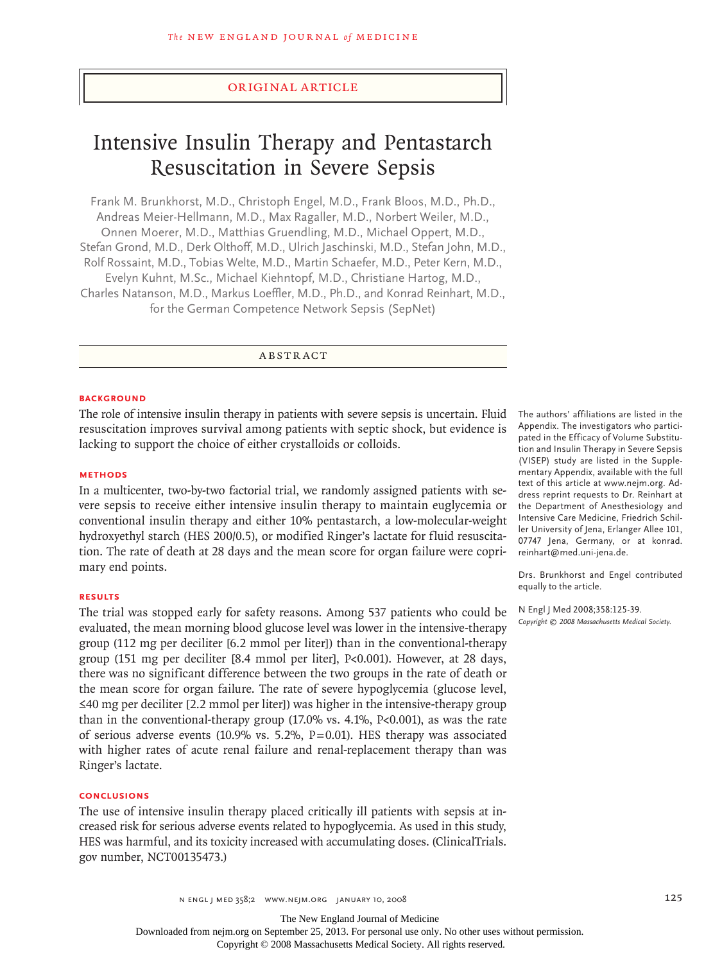# original article

# Intensive Insulin Therapy and Pentastarch Resuscitation in Severe Sepsis

Frank M. Brunkhorst, M.D., Christoph Engel, M.D., Frank Bloos, M.D., Ph.D., Andreas Meier-Hellmann, M.D., Max Ragaller, M.D., Norbert Weiler, M.D., Onnen Moerer, M.D., Matthias Gruendling, M.D., Michael Oppert, M.D., Stefan Grond, M.D., Derk Olthoff, M.D., Ulrich Jaschinski, M.D., Stefan John, M.D., Rolf Rossaint, M.D., Tobias Welte, M.D., Martin Schaefer, M.D., Peter Kern, M.D., Evelyn Kuhnt, M.Sc., Michael Kiehntopf, M.D., Christiane Hartog, M.D., Charles Natanson, M.D., Markus Loeffler, M.D., Ph.D., and Konrad Reinhart, M.D., for the German Competence Network Sepsis (SepNet)

**ABSTRACT** 

### **BACKGROUND**

The role of intensive insulin therapy in patients with severe sepsis is uncertain. Fluid resuscitation improves survival among patients with septic shock, but evidence is lacking to support the choice of either crystalloids or colloids.

#### **Methods**

In a multicenter, two-by-two factorial trial, we randomly assigned patients with severe sepsis to receive either intensive insulin therapy to maintain euglycemia or conventional insulin therapy and either 10% pentastarch, a low-molecular-weight hydroxyethyl starch (HES 200/0.5), or modified Ringer's lactate for fluid resuscitation. The rate of death at 28 days and the mean score for organ failure were coprimary end points.

### **Results**

The trial was stopped early for safety reasons. Among 537 patients who could be evaluated, the mean morning blood glucose level was lower in the intensive-therapy group (112 mg per deciliter [6.2 mmol per liter]) than in the conventional-therapy group (151 mg per deciliter [8.4 mmol per liter], P<0.001). However, at 28 days, there was no significant difference between the two groups in the rate of death or the mean score for organ failure. The rate of severe hypoglycemia (glucose level, ≤40 mg per deciliter [2.2 mmol per liter]) was higher in the intensive-therapy group than in the conventional-therapy group (17.0% vs. 4.1%, P<0.001), as was the rate of serious adverse events (10.9% vs. 5.2%, P=0.01). HES therapy was associated with higher rates of acute renal failure and renal-replacement therapy than was Ringer's lactate.

## **Conclusions**

The use of intensive insulin therapy placed critically ill patients with sepsis at increased risk for serious adverse events related to hypoglycemia. As used in this study, HES was harmful, and its toxicity increased with accumulating doses. (ClinicalTrials. gov number, NCT00135473.)

The authors' affiliations are listed in the Appendix. The investigators who participated in the Efficacy of Volume Substitution and Insulin Therapy in Severe Sepsis (VISEP) study are listed in the Supplementary Appendix, available with the full text of this article at www.nejm.org. Address reprint requests to Dr. Reinhart at the Department of Anesthesiology and Intensive Care Medicine, Friedrich Schiller University of Jena, Erlanger Allee 101, 07747 Jena, Germany, or at konrad. reinhart@med.uni-jena.de.

Drs. Brunkhorst and Engel contributed equally to the article.

N Engl J Med 2008;358:125-39. *Copyright © 2008 Massachusetts Medical Society.*

n engl j med 358;2 www.nejm.org january 10, 2008 125

The New England Journal of Medicine

Downloaded from nejm.org on September 25, 2013. For personal use only. No other uses without permission.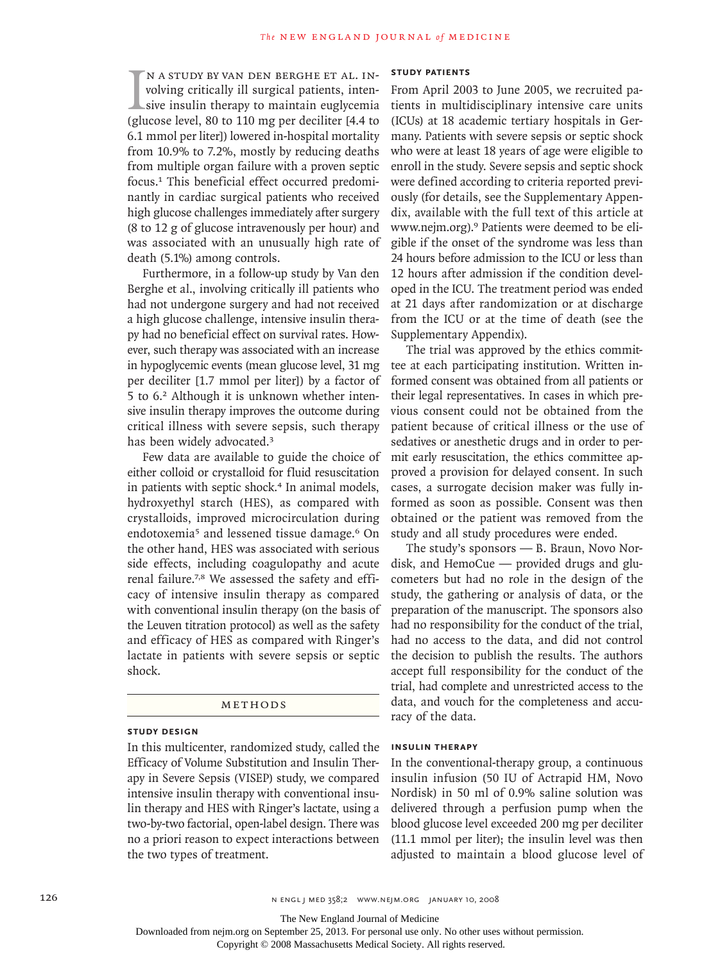$\prod_{\text{(glu)}}$ n a study by van den berghe et al. involving critically ill surgical patients, intensive insulin therapy to maintain euglycemia (glucose level, 80 to 110 mg per deciliter [4.4 to 6.1 mmol per liter]) lowered in-hospital mortality from 10.9% to 7.2%, mostly by reducing deaths from multiple organ failure with a proven septic focus.1 This beneficial effect occurred predominantly in cardiac surgical patients who received high glucose challenges immediately after surgery (8 to 12 g of glucose intravenously per hour) and was associated with an unusually high rate of death (5.1%) among controls.

Furthermore, in a follow-up study by Van den Berghe et al., involving critically ill patients who had not undergone surgery and had not received a high glucose challenge, intensive insulin therapy had no beneficial effect on survival rates. However, such therapy was associated with an increase in hypoglycemic events (mean glucose level, 31 mg per deciliter [1.7 mmol per liter]) by a factor of 5 to 6.2 Although it is unknown whether intensive insulin therapy improves the outcome during critical illness with severe sepsis, such therapy has been widely advocated.<sup>3</sup>

Few data are available to guide the choice of either colloid or crystalloid for fluid resuscitation in patients with septic shock.<sup>4</sup> In animal models, hydroxyethyl starch (HES), as compared with crystalloids, improved microcirculation during endotoxemia<sup>5</sup> and lessened tissue damage.<sup>6</sup> On the other hand, HES was associated with serious side effects, including coagulopathy and acute renal failure.<sup>7,8</sup> We assessed the safety and efficacy of intensive insulin therapy as compared with conventional insulin therapy (on the basis of the Leuven titration protocol) as well as the safety and efficacy of HES as compared with Ringer's lactate in patients with severe sepsis or septic shock.

### METHODS

#### **Study Design**

In this multicenter, randomized study, called the Efficacy of Volume Substitution and Insulin Therapy in Severe Sepsis (VISEP) study, we compared intensive insulin therapy with conventional insulin therapy and HES with Ringer's lactate, using a two-by-two factorial, open-label design. There was no a priori reason to expect interactions between the two types of treatment.

# **Study Patients**

From April 2003 to June 2005, we recruited patients in multidisciplinary intensive care units (ICUs) at 18 academic tertiary hospitals in Germany. Patients with severe sepsis or septic shock who were at least 18 years of age were eligible to enroll in the study. Severe sepsis and septic shock were defined according to criteria reported previously (for details, see the Supplementary Appendix, available with the full text of this article at www.nejm.org).9 Patients were deemed to be eligible if the onset of the syndrome was less than 24 hours before admission to the ICU or less than 12 hours after admission if the condition developed in the ICU. The treatment period was ended at 21 days after randomization or at discharge from the ICU or at the time of death (see the Supplementary Appendix).

The trial was approved by the ethics committee at each participating institution. Written informed consent was obtained from all patients or their legal representatives. In cases in which previous consent could not be obtained from the patient because of critical illness or the use of sedatives or anesthetic drugs and in order to permit early resuscitation, the ethics committee approved a provision for delayed consent. In such cases, a surrogate decision maker was fully informed as soon as possible. Consent was then obtained or the patient was removed from the study and all study procedures were ended.

The study's sponsors — B. Braun, Novo Nordisk, and HemoCue — provided drugs and glucometers but had no role in the design of the study, the gathering or analysis of data, or the preparation of the manuscript. The sponsors also had no responsibility for the conduct of the trial, had no access to the data, and did not control the decision to publish the results. The authors accept full responsibility for the conduct of the trial, had complete and unrestricted access to the data, and vouch for the completeness and accuracy of the data.

# **Insulin Therapy**

In the conventional-therapy group, a continuous insulin infusion (50 IU of Actrapid HM, Novo Nordisk) in 50 ml of 0.9% saline solution was delivered through a perfusion pump when the blood glucose level exceeded 200 mg per deciliter (11.1 mmol per liter); the insulin level was then adjusted to maintain a blood glucose level of

126 n engl j med 358;2 www.nejm.org january 10, 2008

The New England Journal of Medicine

Downloaded from nejm.org on September 25, 2013. For personal use only. No other uses without permission.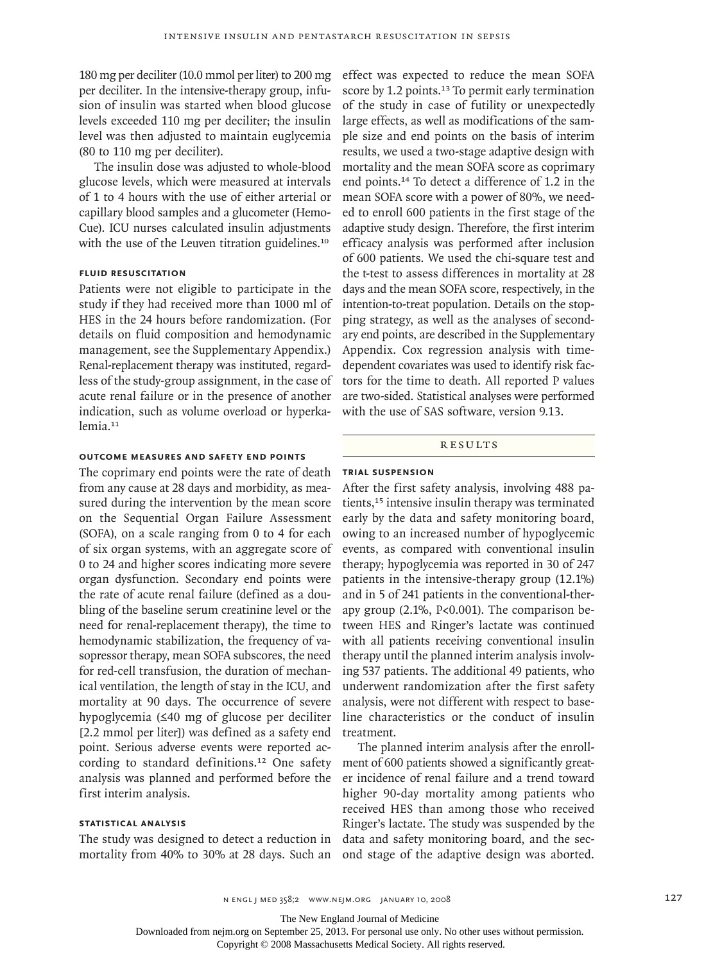180 mg per deciliter (10.0 mmol per liter) to 200 mg per deciliter. In the intensive-therapy group, infusion of insulin was started when blood glucose levels exceeded 110 mg per deciliter; the insulin level was then adjusted to maintain euglycemia (80 to 110 mg per deciliter).

The insulin dose was adjusted to whole-blood glucose levels, which were measured at intervals of 1 to 4 hours with the use of either arterial or capillary blood samples and a glucometer (Hemo-Cue). ICU nurses calculated insulin adjustments with the use of the Leuven titration guidelines.<sup>10</sup>

### **Fluid Resuscitation**

Patients were not eligible to participate in the study if they had received more than 1000 ml of HES in the 24 hours before randomization. (For details on fluid composition and hemodynamic management, see the Supplementary Appendix.) Renal-replacement therapy was instituted, regardless of the study-group assignment, in the case of acute renal failure or in the presence of another indication, such as volume overload or hyperkalemia.<sup>11</sup>

### **Outcome Measures and Safety End Points**

The coprimary end points were the rate of death from any cause at 28 days and morbidity, as measured during the intervention by the mean score on the Sequential Organ Failure Assessment (SOFA), on a scale ranging from 0 to 4 for each of six organ systems, with an aggregate score of 0 to 24 and higher scores indicating more severe organ dysfunction. Secondary end points were the rate of acute renal failure (defined as a doubling of the baseline serum creatinine level or the need for renal-replacement therapy), the time to hemodynamic stabilization, the frequency of vasopressor therapy, mean SOFA subscores, the need for red-cell transfusion, the duration of mechanical ventilation, the length of stay in the ICU, and mortality at 90 days. The occurrence of severe hypoglycemia (≤40 mg of glucose per deciliter [2.2 mmol per liter]) was defined as a safety end point. Serious adverse events were reported according to standard definitions.12 One safety analysis was planned and performed before the first interim analysis.

# **Statistical Analysis**

The study was designed to detect a reduction in mortality from 40% to 30% at 28 days. Such an

effect was expected to reduce the mean SOFA score by 1.2 points.<sup>13</sup> To permit early termination of the study in case of futility or unexpectedly large effects, as well as modifications of the sample size and end points on the basis of interim results, we used a two-stage adaptive design with mortality and the mean SOFA score as coprimary end points.14 To detect a difference of 1.2 in the mean SOFA score with a power of 80%, we needed to enroll 600 patients in the first stage of the adaptive study design. Therefore, the first interim efficacy analysis was performed after inclusion of 600 patients. We used the chi-square test and the t-test to assess differences in mortality at 28 days and the mean SOFA score, respectively, in the intention-to-treat population. Details on the stopping strategy, as well as the analyses of secondary end points, are described in the Supplementary Appendix. Cox regression analysis with timedependent covariates was used to identify risk factors for the time to death. All reported P values are two-sided. Statistical analyses were performed with the use of SAS software, version 9.13.

# R esult s

### **Trial Suspension**

After the first safety analysis, involving 488 patients,<sup>15</sup> intensive insulin therapy was terminated early by the data and safety monitoring board, owing to an increased number of hypoglycemic events, as compared with conventional insulin therapy; hypoglycemia was reported in 30 of 247 patients in the intensive-therapy group (12.1%) and in 5 of 241 patients in the conventional-therapy group (2.1%, P<0.001). The comparison between HES and Ringer's lactate was continued with all patients receiving conventional insulin therapy until the planned interim analysis involving 537 patients. The additional 49 patients, who underwent randomization after the first safety analysis, were not different with respect to baseline characteristics or the conduct of insulin treatment.

The planned interim analysis after the enrollment of 600 patients showed a significantly greater incidence of renal failure and a trend toward higher 90-day mortality among patients who received HES than among those who received Ringer's lactate. The study was suspended by the data and safety monitoring board, and the second stage of the adaptive design was aborted.

The New England Journal of Medicine

Downloaded from nejm.org on September 25, 2013. For personal use only. No other uses without permission.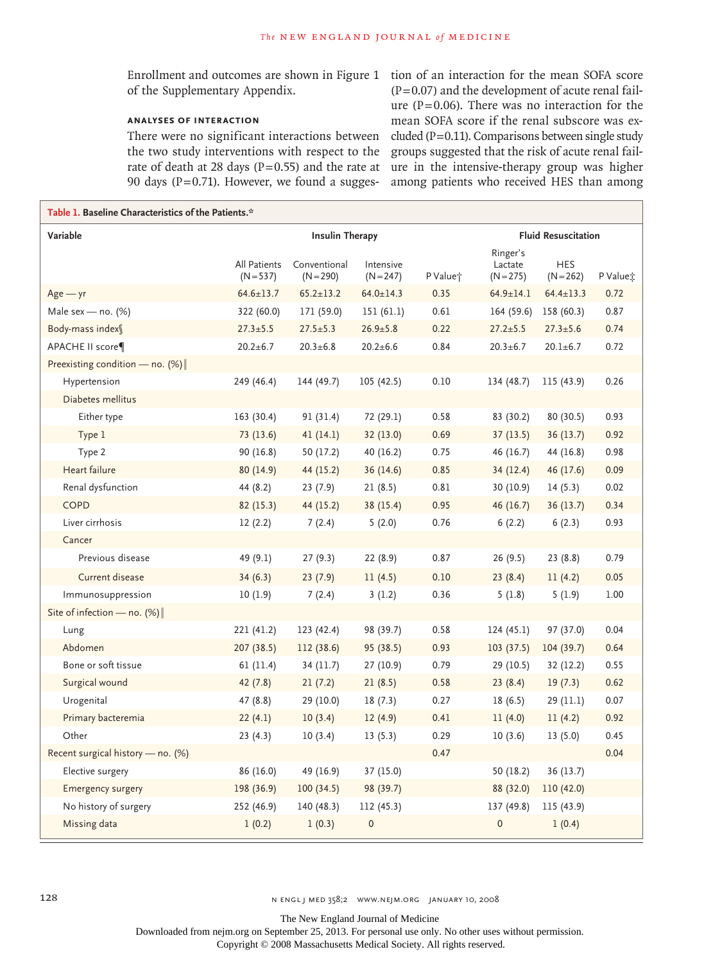of the Supplementary Appendix.

# **Analyses of Interaction**

There were no significant interactions between the two study interventions with respect to the rate of death at 28 days ( $P=0.55$ ) and the rate at 90 days ( $P=0.71$ ). However, we found a sugges-

Enrollment and outcomes are shown in Figure 1 tion of an interaction for the mean SOFA score  $(P=0.07)$  and the development of acute renal failure  $(P=0.06)$ . There was no interaction for the mean SOFA score if the renal subscore was excluded (P=0.11). Comparisons between single study groups suggested that the risk of acute renal failure in the intensive-therapy group was higher among patients who received HES than among

| Table 1. Baseline Characteristics of the Patients.* |                             |                             |                          |                      |                                  |                           |                       |  |
|-----------------------------------------------------|-----------------------------|-----------------------------|--------------------------|----------------------|----------------------------------|---------------------------|-----------------------|--|
| Variable                                            | <b>Insulin Therapy</b>      |                             |                          |                      | <b>Fluid Resuscitation</b>       |                           |                       |  |
|                                                     | All Patients<br>$(N = 537)$ | Conventional<br>$(N = 290)$ | Intensive<br>$(N = 247)$ | P Value <sub>T</sub> | Ringer's<br>Lactate<br>$(N=275)$ | <b>HES</b><br>$(N = 262)$ | P Value $\ddot{\chi}$ |  |
| $Age - yr$                                          | $64.6 \pm 13.7$             | $65.2 \pm 13.2$             | $64.0 \pm 14.3$          | 0.35                 | $64.9 \pm 14.1$                  | $64.4 \pm 13.3$           | 0.72                  |  |
| Male sex — no. $(\%)$                               | 322 (60.0)                  | 171 (59.0)                  | 151(61.1)                | 0.61                 | 164 (59.6)                       | 158 (60.3)                | 0.87                  |  |
| Body-mass index                                     | $27.3 \pm 5.5$              | $27.5 \pm 5.3$              | $26.9 \pm 5.8$           | 0.22                 | $27.2 \pm 5.5$                   | $27.3 \pm 5.6$            | 0.74                  |  |
| APACHE II score¶                                    | $20.2 + 6.7$                | $20.3 + 6.8$                | $20.2 + 6.6$             | 0.84                 | $20.3 + 6.7$                     | $20.1 + 6.7$              | 0.72                  |  |
| Preexisting condition — no. $(\%)$                  |                             |                             |                          |                      |                                  |                           |                       |  |
| Hypertension                                        | 249 (46.4)                  | 144 (49.7)                  | 105 (42.5)               | 0.10                 | 134 (48.7)                       | 115 (43.9)                | 0.26                  |  |
| Diabetes mellitus                                   |                             |                             |                          |                      |                                  |                           |                       |  |
| Either type                                         | 163(30.4)                   | 91 (31.4)                   | 72 (29.1)                | 0.58                 | 83 (30.2)                        | 80 (30.5)                 | 0.93                  |  |
| Type 1                                              | 73(13.6)                    | 41(14.1)                    | 32(13.0)                 | 0.69                 | 37(13.5)                         | 36(13.7)                  | 0.92                  |  |
| Type 2                                              | 90(16.8)                    | 50 (17.2)                   | 40 (16.2)                | 0.75                 | 46 (16.7)                        | 44 (16.8)                 | 0.98                  |  |
| Heart failure                                       | 80 (14.9)                   | 44 (15.2)                   | 36(14.6)                 | 0.85                 | 34(12.4)                         | 46 (17.6)                 | 0.09                  |  |
| Renal dysfunction                                   | 44 (8.2)                    | 23(7.9)                     | 21(8.5)                  | 0.81                 | 30(10.9)                         | 14(5.3)                   | 0.02                  |  |
| <b>COPD</b>                                         | 82(15.3)                    | 44 (15.2)                   | 38 (15.4)                | 0.95                 | 46 (16.7)                        | 36(13.7)                  | 0.34                  |  |
| Liver cirrhosis                                     | 12(2.2)                     | 7(2.4)                      | 5(2.0)                   | 0.76                 | 6(2.2)                           | 6(2.3)                    | 0.93                  |  |
| Cancer                                              |                             |                             |                          |                      |                                  |                           |                       |  |
| Previous disease                                    | 49 (9.1)                    | 27(9.3)                     | 22(8.9)                  | 0.87                 | 26(9.5)                          | 23(8.8)                   | 0.79                  |  |
| Current disease                                     | 34(6.3)                     | 23(7.9)                     | 11(4.5)                  | 0.10                 | 23(8.4)                          | 11(4.2)                   | 0.05                  |  |
| Immunosuppression                                   | 10(1.9)                     | 7(2.4)                      | 3(1.2)                   | 0.36                 | 5(1.8)                           | 5(1.9)                    | 1.00                  |  |
| Site of infection - no. $(\%)$                      |                             |                             |                          |                      |                                  |                           |                       |  |
| Lung                                                | 221 (41.2)                  | 123(42.4)                   | 98 (39.7)                | 0.58                 | 124(45.1)                        | 97 (37.0)                 | 0.04                  |  |
| Abdomen                                             | 207(38.5)                   | 112 (38.6)                  | 95 (38.5)                | 0.93                 | 103(37.5)                        | 104(39.7)                 | 0.64                  |  |
| Bone or soft tissue                                 | 61 (11.4)                   | 34 (11.7)                   | 27(10.9)                 | 0.79                 | 29 (10.5)                        | 32 (12.2)                 | 0.55                  |  |
| Surgical wound                                      | 42(7.8)                     | 21(7.2)                     | 21(8.5)                  | 0.58                 | 23(8.4)                          | 19(7.3)                   | 0.62                  |  |
| Urogenital                                          | 47 (8.8)                    | 29 (10.0)                   | 18(7.3)                  | 0.27                 | 18(6.5)                          | 29 (11.1)                 | 0.07                  |  |
| Primary bacteremia                                  | 22(4.1)                     | 10(3.4)                     | 12(4.9)                  | 0.41                 | 11(4.0)                          | 11(4.2)                   | 0.92                  |  |
| Other                                               | 23(4.3)                     | 10(3.4)                     | 13(5.3)                  | 0.29                 | 10(3.6)                          | 13(5.0)                   | 0.45                  |  |
| Recent surgical history - no. (%)                   |                             |                             |                          | 0.47                 |                                  |                           | 0.04                  |  |
| Elective surgery                                    | 86 (16.0)                   | 49 (16.9)                   | 37 (15.0)                |                      | 50 (18.2)                        | 36(13.7)                  |                       |  |
| <b>Emergency surgery</b>                            | 198 (36.9)                  | 100(34.5)                   | 98 (39.7)                |                      | 88 (32.0)                        | 110(42.0)                 |                       |  |
| No history of surgery                               | 252 (46.9)                  | 140 (48.3)                  | 112 (45.3)               |                      | 137 (49.8)                       | 115 (43.9)                |                       |  |
| Missing data                                        | 1(0.2)                      | 1(0.3)                      | $\pmb{0}$                |                      | $\mathbf{0}$                     | 1(0.4)                    |                       |  |

128 **n engl j med 358;2 www.nejm.org january 10, 2008** 

Downloaded from nejm.org on September 25, 2013. For personal use only. No other uses without permission.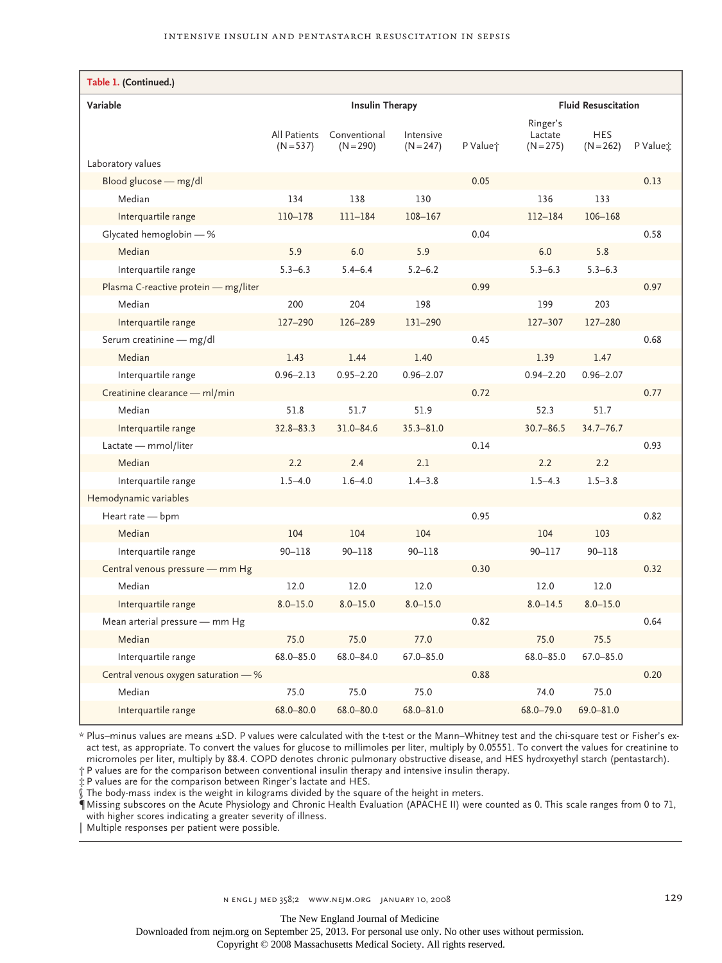| Table 1. (Continued.)                |                             |                             |                          |                      |                                    |                           |                      |  |
|--------------------------------------|-----------------------------|-----------------------------|--------------------------|----------------------|------------------------------------|---------------------------|----------------------|--|
| Variable                             | <b>Insulin Therapy</b>      |                             |                          |                      | <b>Fluid Resuscitation</b>         |                           |                      |  |
|                                      | All Patients<br>$(N = 537)$ | Conventional<br>$(N = 290)$ | Intensive<br>$(N = 247)$ | P Value <sup>+</sup> | Ringer's<br>Lactate<br>$(N = 275)$ | <b>HES</b><br>$(N = 262)$ | P Value <sub>1</sub> |  |
| Laboratory values                    |                             |                             |                          |                      |                                    |                           |                      |  |
| Blood glucose - mg/dl                |                             |                             |                          | 0.05                 |                                    |                           | 0.13                 |  |
| Median                               | 134                         | 138                         | 130                      |                      | 136                                | 133                       |                      |  |
| Interquartile range                  | 110-178                     | $111 - 184$                 | $108 - 167$              |                      | $112 - 184$                        | $106 - 168$               |                      |  |
| Glycated hemoglobin - %              |                             |                             |                          | 0.04                 |                                    |                           | 0.58                 |  |
| Median                               | 5.9                         | 6.0                         | 5.9                      |                      | 6.0                                | 5.8                       |                      |  |
| Interquartile range                  | $5.3 - 6.3$                 | $5.4 - 6.4$                 | $5.2 - 6.2$              |                      | $5.3 - 6.3$                        | $5.3 - 6.3$               |                      |  |
| Plasma C-reactive protein - mg/liter |                             |                             |                          | 0.99                 |                                    |                           | 0.97                 |  |
| Median                               | 200                         | 204                         | 198                      |                      | 199                                | 203                       |                      |  |
| Interquartile range                  | 127-290                     | 126-289                     | $131 - 290$              |                      | 127-307                            | 127-280                   |                      |  |
| Serum creatinine - mg/dl             |                             |                             |                          | 0.45                 |                                    |                           | 0.68                 |  |
| Median                               | 1.43                        | 1.44                        | 1.40                     |                      | 1.39                               | 1.47                      |                      |  |
| Interquartile range                  | $0.96 - 2.13$               | $0.95 - 2.20$               | $0.96 - 2.07$            |                      | $0.94 - 2.20$                      | $0.96 - 2.07$             |                      |  |
| Creatinine clearance - ml/min        |                             |                             |                          | 0.72                 |                                    |                           | 0.77                 |  |
| Median                               | 51.8                        | 51.7                        | 51.9                     |                      | 52.3                               | 51.7                      |                      |  |
| Interquartile range                  | $32.8 - 83.3$               | 31.0-84.6                   | $35.3 - 81.0$            |                      | $30.7 - 86.5$                      | $34.7 - 76.7$             |                      |  |
| Lactate - mmol/liter                 |                             |                             |                          | 0.14                 |                                    |                           | 0.93                 |  |
| Median                               | 2.2                         | 2.4                         | 2.1                      |                      | 2.2                                | 2.2                       |                      |  |
| Interquartile range                  | $1.5 - 4.0$                 | $1.6 - 4.0$                 | $1.4 - 3.8$              |                      | $1.5 - 4.3$                        | $1.5 - 3.8$               |                      |  |
| Hemodynamic variables                |                             |                             |                          |                      |                                    |                           |                      |  |
| Heart rate - bpm                     |                             |                             |                          | 0.95                 |                                    |                           | 0.82                 |  |
| Median                               | 104                         | 104                         | 104                      |                      | 104                                | 103                       |                      |  |
| Interquartile range                  | $90 - 118$                  | $90 - 118$                  | $90 - 118$               |                      | $90 - 117$                         | $90 - 118$                |                      |  |
| Central venous pressure - mm Hg      |                             |                             |                          | 0.30                 |                                    |                           | 0.32                 |  |
| Median                               | 12.0                        | 12.0                        | 12.0                     |                      | 12.0                               | 12.0                      |                      |  |
| Interquartile range                  | $8.0 - 15.0$                | $8.0 - 15.0$                | $8.0 - 15.0$             |                      | $8.0 - 14.5$                       | $8.0 - 15.0$              |                      |  |
| Mean arterial pressure - mm Hg       |                             |                             |                          | 0.82                 |                                    |                           | 0.64                 |  |
| Median                               | 75.0                        | 75.0                        | 77.0                     |                      | 75.0                               | 75.5                      |                      |  |
| Interquartile range                  | 68.0-85.0                   | 68.0-84.0                   | $67.0 - 85.0$            |                      | 68.0-85.0                          | $67.0 - 85.0$             |                      |  |
| Central venous oxygen saturation - % |                             |                             |                          | 0.88                 |                                    |                           | 0.20                 |  |
| Median                               | 75.0                        | 75.0                        | 75.0                     |                      | 74.0                               | 75.0                      |                      |  |
| Interquartile range                  | 68.0-80.0                   | 68.0-80.0                   | $68.0 - 81.0$            |                      | 68.0-79.0                          | 69.0-81.0                 |                      |  |

\* Plus–minus values are means ±SD. P values were calculated with the t-test or the Mann–Whitney test and the chi-square test or Fisher's exact test, as appropriate. To convert the values for glucose to millimoles per liter, multiply by 0.05551. To convert the values for creatinine to micromoles per liter, multiply by 88.4. COPD denotes chronic pulmonary obstructive disease, and HES hydroxyethyl starch (pentastarch). † P values are for the comparison between conventional insulin therapy and intensive insulin therapy.

‡ P values are for the comparison between Ringer's lactate and HES.

 $\dot{\S}$  The body-mass index is the weight in kilograms divided by the square of the height in meters.

¶Missing subscores on the Acute Physiology and Chronic Health Evaluation (APACHE II) were counted as 0. This scale ranges from 0 to 71, with higher scores indicating a greater severity of illness.

‖ Multiple responses per patient were possible.

The New England Journal of Medicine

Downloaded from nejm.org on September 25, 2013. For personal use only. No other uses without permission.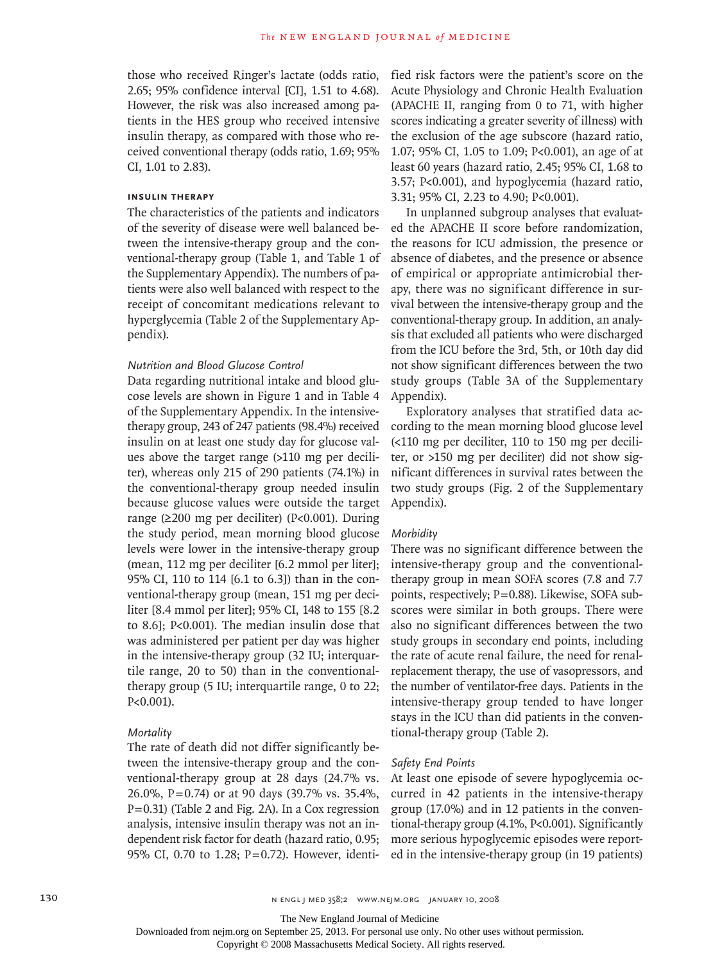those who received Ringer's lactate (odds ratio, 2.65; 95% confidence interval [CI], 1.51 to 4.68). However, the risk was also increased among patients in the HES group who received intensive insulin therapy, as compared with those who received conventional therapy (odds ratio, 1.69; 95% CI, 1.01 to 2.83).

# **Insulin Therapy**

The characteristics of the patients and indicators of the severity of disease were well balanced between the intensive-therapy group and the conventional-therapy group (Table 1, and Table 1 of the Supplementary Appendix). The numbers of patients were also well balanced with respect to the receipt of concomitant medications relevant to hyperglycemia (Table 2 of the Supplementary Appendix).

# *Nutrition and Blood Glucose Control*

Data regarding nutritional intake and blood glucose levels are shown in Figure 1 and in Table 4 of the Supplementary Appendix. In the intensivetherapy group, 243 of 247 patients (98.4%) received insulin on at least one study day for glucose values above the target range (>110 mg per deciliter), whereas only 215 of 290 patients (74.1%) in the conventional-therapy group needed insulin because glucose values were outside the target range (≥200 mg per deciliter) (P<0.001). During the study period, mean morning blood glucose levels were lower in the intensive-therapy group (mean, 112 mg per deciliter [6.2 mmol per liter]; 95% CI, 110 to 114 [6.1 to 6.3]) than in the conventional-therapy group (mean, 151 mg per deciliter [8.4 mmol per liter]; 95% CI, 148 to 155 [8.2 to 8.6]; P<0.001). The median insulin dose that was administered per patient per day was higher in the intensive-therapy group (32 IU; interquartile range, 20 to 50) than in the conventionaltherapy group (5 IU; interquartile range, 0 to 22; P<0.001).

### *Mortality*

The rate of death did not differ significantly between the intensive-therapy group and the conventional-therapy group at 28 days (24.7% vs. 26.0%, P=0.74) or at 90 days (39.7% vs. 35.4%, P=0.31) (Table 2 and Fig. 2A). In a Cox regression analysis, intensive insulin therapy was not an independent risk factor for death (hazard ratio, 0.95; 95% CI, 0.70 to 1.28; P=0.72). However, identified risk factors were the patient's score on the Acute Physiology and Chronic Health Evaluation (APACHE II, ranging from 0 to 71, with higher scores indicating a greater severity of illness) with the exclusion of the age subscore (hazard ratio, 1.07; 95% CI, 1.05 to 1.09; P<0.001), an age of at least 60 years (hazard ratio, 2.45; 95% CI, 1.68 to 3.57; P<0.001), and hypoglycemia (hazard ratio, 3.31; 95% CI, 2.23 to 4.90; P<0.001).

In unplanned subgroup analyses that evaluated the APACHE II score before randomization, the reasons for ICU admission, the presence or absence of diabetes, and the presence or absence of empirical or appropriate antimicrobial therapy, there was no significant difference in survival between the intensive-therapy group and the conventional-therapy group. In addition, an analysis that excluded all patients who were discharged from the ICU before the 3rd, 5th, or 10th day did not show significant differences between the two study groups (Table 3A of the Supplementary Appendix).

Exploratory analyses that stratified data according to the mean morning blood glucose level (<110 mg per deciliter, 110 to 150 mg per deciliter, or >150 mg per deciliter) did not show significant differences in survival rates between the two study groups (Fig. 2 of the Supplementary Appendix).

### *Morbidity*

There was no significant difference between the intensive-therapy group and the conventionaltherapy group in mean SOFA scores (7.8 and 7.7 points, respectively; P=0.88). Likewise, SOFA subscores were similar in both groups. There were also no significant differences between the two study groups in secondary end points, including the rate of acute renal failure, the need for renalreplacement therapy, the use of vasopressors, and the number of ventilator-free days. Patients in the intensive-therapy group tended to have longer stays in the ICU than did patients in the conventional-therapy group (Table 2).

### *Safety End Points*

At least one episode of severe hypoglycemia occurred in 42 patients in the intensive-therapy group (17.0%) and in 12 patients in the conventional-therapy group (4.1%, P<0.001). Significantly more serious hypoglycemic episodes were reported in the intensive-therapy group (in 19 patients)

The New England Journal of Medicine

Downloaded from nejm.org on September 25, 2013. For personal use only. No other uses without permission.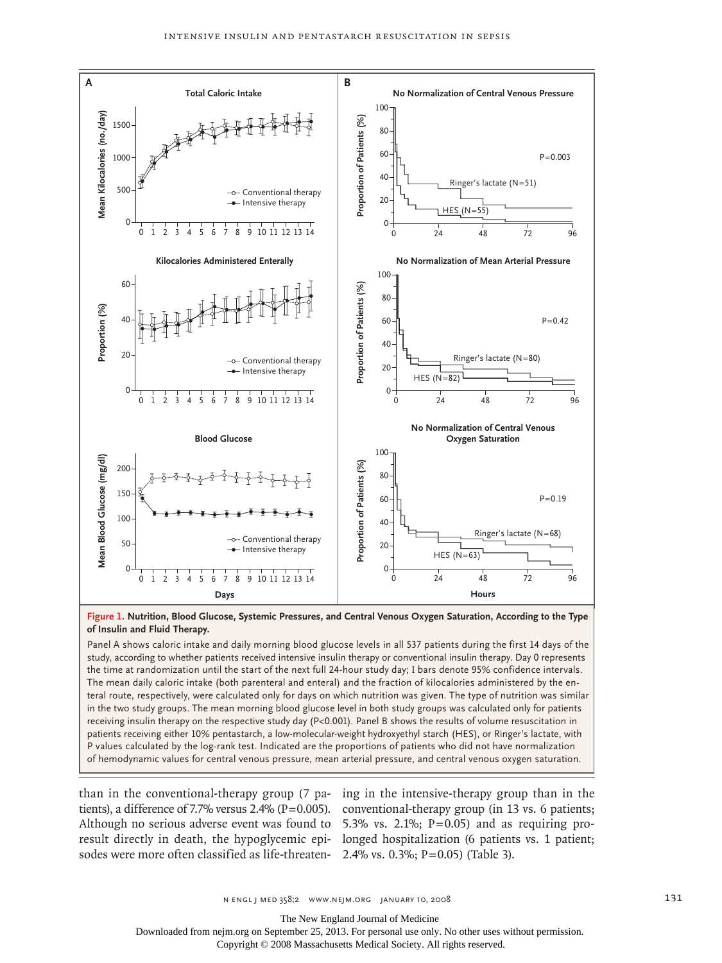

**Figure 1. Nutrition, Blood Glucose, Systemic Pressures, and Central Venous Oxygen Saturation, According to the Type of Insulin and Fluid Therapy.**

teral route, respectively, were calculated only for days on which nutrition was given. The type of nutrition was similar Panel A shows caloric intake and daily morning blood glucose levels in all 537 patients during the first 14 days of the  $\frac{1}{2}$  received intensive insulin therapy or conventional in of hemodynamic values for central venous pressure, mean arterial pressure, and central venous oxygen saturation. The mean daily caloric intake (both parenteral and enteral) and the fraction of kilocalories administered by the enthe time at randomization until the start of the next full 24-hour study day; I bars denote 95% confidence intervals. Combo in the two study groups. The mean morning blood glucose level in both study groups was calculated only for patients receiving insulin therapy on the respective study day (P<0.001). Panel B shows the results of volume resuscitation in **Figure has been redrawn and type has been reset. Please check carefully.** patients receiving either 10% pentastarch, a low-molecular-weight hydroxyethyl starch (HES), or Ringer's lactate, with study, according to whether patients received intensive insulin therapy or conventional insulin therapy. Day 0 represents P values calculated by the log-rank test. Indicated are the proportions of patients who did not have normalization

than in the conventional-therapy group (7 pa-ing in the intensive-therapy group than in the tients), a difference of 7.7% versus  $2.4\%$  (P=0.005). conventional-therapy group (in 13 vs. 6 patients; Although no serious adverse event was found to  $5.3\%$  vs. 2.1%; P=0.05) and as requiring proresult directly in death, the hypoglycemic epi-longed hospitalization (6 patients vs. 1 patient; sodes were more often classified as life-threaten-2.4% vs. 0.3%; P=0.05) (Table 3).

n engl j med 358;2 www.nejm.org january 10, 2008 131

The New England Journal of Medicine

Downloaded from nejm.org on September 25, 2013. For personal use only. No other uses without permission.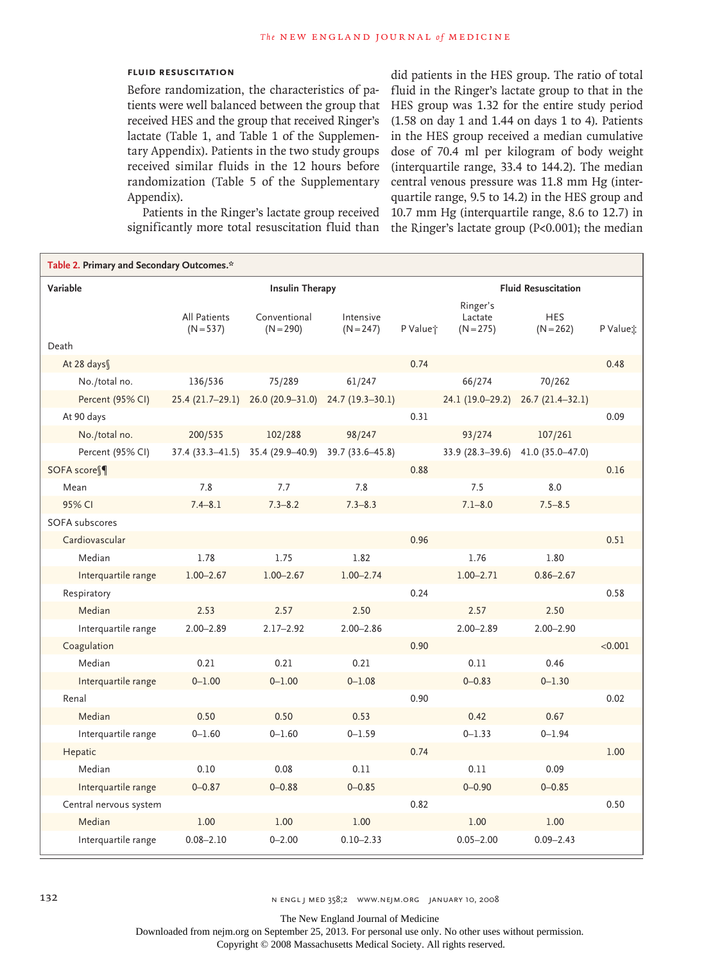# **Fluid Resuscitation**

Before randomization, the characteristics of patients were well balanced between the group that received HES and the group that received Ringer's lactate (Table 1, and Table 1 of the Supplementary Appendix). Patients in the two study groups received similar fluids in the 12 hours before randomization (Table 5 of the Supplementary Appendix).

did patients in the HES group. The ratio of total fluid in the Ringer's lactate group to that in the HES group was 1.32 for the entire study period (1.58 on day 1 and 1.44 on days 1 to 4). Patients in the HES group received a median cumulative dose of 70.4 ml per kilogram of body weight (interquartile range, 33.4 to 144.2). The median central venous pressure was 11.8 mm Hg (interquartile range, 9.5 to 14.2) in the HES group and 10.7 mm Hg (interquartile range, 8.6 to 12.7) in the Ringer's lactate group (P<0.001); the median

Patients in the Ringer's lactate group received significantly more total resuscitation fluid than

| Table 2. Primary and Secondary Outcomes.* |                             |                                     |                            |          |                                    |                           |                      |  |
|-------------------------------------------|-----------------------------|-------------------------------------|----------------------------|----------|------------------------------------|---------------------------|----------------------|--|
| Variable                                  |                             | <b>Insulin Therapy</b>              | <b>Fluid Resuscitation</b> |          |                                    |                           |                      |  |
| Death                                     | All Patients<br>$(N = 537)$ | Conventional<br>$(N = 290)$         | Intensive<br>$(N = 247)$   | P Value† | Ringer's<br>Lactate<br>$(N = 275)$ | <b>HES</b><br>$(N = 262)$ | P Value <sub>1</sub> |  |
| At 28 days                                |                             |                                     |                            | 0.74     |                                    |                           | 0.48                 |  |
| No./total no.                             | 136/536                     | 75/289                              | 61/247                     |          | 66/274                             | 70/262                    |                      |  |
| Percent (95% CI)                          | $25.4(21.7-29.1)$           | $26.0(20.9-31.0)$                   | $24.7(19.3-30.1)$          |          | 24.1 (19.0-29.2)                   | $26.7(21.4-32.1)$         |                      |  |
| At 90 days                                |                             |                                     |                            | 0.31     |                                    |                           | 0.09                 |  |
| No./total no.                             | 200/535                     | 102/288                             | 98/247                     |          | 93/274                             | 107/261                   |                      |  |
| Percent (95% CI)                          |                             | $37.4(33.3-41.5)$ $35.4(29.9-40.9)$ | 39.7 (33.6-45.8)           |          | 33.9 (28.3-39.6)                   | 41.0 (35.0-47.0)          |                      |  |
| SOFA score                                |                             |                                     |                            | 0.88     |                                    |                           | 0.16                 |  |
| Mean                                      | 7.8                         | 7.7                                 | 7.8                        |          | 7.5                                | 8.0                       |                      |  |
| 95% CI                                    | $7.4 - 8.1$                 | $7.3 - 8.2$                         | $7.3 - 8.3$                |          | $7.1 - 8.0$                        | $7.5 - 8.5$               |                      |  |
| <b>SOFA</b> subscores                     |                             |                                     |                            |          |                                    |                           |                      |  |
| Cardiovascular                            |                             |                                     |                            | 0.96     |                                    |                           | 0.51                 |  |
| Median                                    | 1.78                        | 1.75                                | 1.82                       |          | 1.76                               | 1.80                      |                      |  |
| Interquartile range                       | $1.00 - 2.67$               | $1.00 - 2.67$                       | $1.00 - 2.74$              |          | $1.00 - 2.71$                      | $0.86 - 2.67$             |                      |  |
| Respiratory                               |                             |                                     |                            | 0.24     |                                    |                           | 0.58                 |  |
| Median                                    | 2.53                        | 2.57                                | 2.50                       |          | 2.57                               | 2.50                      |                      |  |
| Interquartile range                       | $2.00 - 2.89$               | $2.17 - 2.92$                       | $2.00 - 2.86$              |          | $2.00 - 2.89$                      | $2.00 - 2.90$             |                      |  |
| Coagulation                               |                             |                                     |                            | 0.90     |                                    |                           | < 0.001              |  |
| Median                                    | 0.21                        | 0.21                                | 0.21                       |          | 0.11                               | 0.46                      |                      |  |
| Interquartile range                       | $0 - 1.00$                  | $0 - 1.00$                          | $0 - 1.08$                 |          | $0 - 0.83$                         | $0 - 1.30$                |                      |  |
| Renal                                     |                             |                                     |                            | 0.90     |                                    |                           | 0.02                 |  |
| Median                                    | 0.50                        | 0.50                                | 0.53                       |          | 0.42                               | 0.67                      |                      |  |
| Interquartile range                       | $0 - 1.60$                  | $0 - 1.60$                          | $0 - 1.59$                 |          | $0 - 1.33$                         | $0 - 1.94$                |                      |  |
| Hepatic                                   |                             |                                     |                            | 0.74     |                                    |                           | 1.00                 |  |
| Median                                    | 0.10                        | 0.08                                | 0.11                       |          | 0.11                               | 0.09                      |                      |  |
| Interquartile range                       | $0 - 0.87$                  | $0 - 0.88$                          | $0 - 0.85$                 |          | $0 - 0.90$                         | $0 - 0.85$                |                      |  |
| Central nervous system                    |                             |                                     |                            | 0.82     |                                    |                           | 0.50                 |  |
| Median                                    | 1.00                        | 1.00                                | 1.00                       |          | 1.00                               | 1.00                      |                      |  |
| Interquartile range                       | $0.08 - 2.10$               | $0 - 2.00$                          | $0.10 - 2.33$              |          | $0.05 - 2.00$                      | $0.09 - 2.43$             |                      |  |

132 n engl j med 358;2 www.nejm.org january 10, 2008

Downloaded from nejm.org on September 25, 2013. For personal use only. No other uses without permission.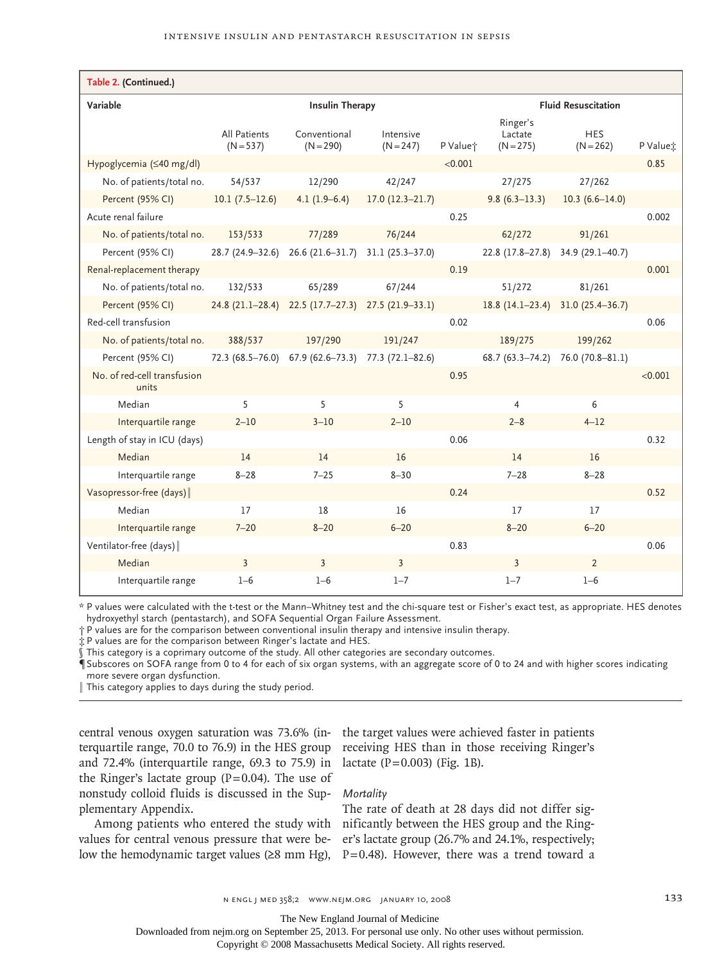| Table 2. (Continued.)                |                             |                                   |                          |                      |                                    |                           |                      |  |
|--------------------------------------|-----------------------------|-----------------------------------|--------------------------|----------------------|------------------------------------|---------------------------|----------------------|--|
| Variable                             | <b>Insulin Therapy</b>      |                                   |                          |                      | <b>Fluid Resuscitation</b>         |                           |                      |  |
|                                      | All Patients<br>$(N = 537)$ | Conventional<br>$(N = 290)$       | Intensive<br>$(N = 247)$ | P Value <sup>+</sup> | Ringer's<br>Lactate<br>$(N = 275)$ | <b>HES</b><br>$(N = 262)$ | P Value <sup>+</sup> |  |
| Hypoglycemia (≤40 mg/dl)             |                             |                                   |                          | < 0.001              |                                    |                           | 0.85                 |  |
| No. of patients/total no.            | 54/537                      | 12/290                            | 42/247                   |                      | 27/275                             | 27/262                    |                      |  |
| Percent (95% CI)                     | $10.1(7.5-12.6)$            | $4.1(1.9-6.4)$                    | $17.0(12.3-21.7)$        |                      | $9.8(6.3 - 13.3)$                  | $10.3(6.6 - 14.0)$        |                      |  |
| Acute renal failure                  |                             |                                   |                          | 0.25                 |                                    |                           | 0.002                |  |
| No. of patients/total no.            | 153/533                     | 77/289                            | 76/244                   |                      | 62/272                             | 91/261                    |                      |  |
| Percent (95% CI)                     | $28.7(24.9-32.6)$           | $26.6(21.6-31.7)$                 | $31.1(25.3 - 37.0)$      |                      | 22.8 (17.8-27.8)                   | 34.9 (29.1-40.7)          |                      |  |
| Renal-replacement therapy            |                             |                                   |                          | 0.19                 |                                    |                           | 0.001                |  |
| No. of patients/total no.            | 132/533                     | 65/289                            | 67/244                   |                      | 51/272                             | 81/261                    |                      |  |
| Percent (95% CI)                     |                             | 24.8 (21.1–28.4) 22.5 (17.7–27.3) | $27.5(21.9-33.1)$        |                      | $18.8(14.1-23.4)$                  | $31.0(25.4 - 36.7)$       |                      |  |
| Red-cell transfusion                 |                             |                                   |                          | 0.02                 |                                    |                           | 0.06                 |  |
| No. of patients/total no.            | 388/537                     | 197/290                           | 191/247                  |                      | 189/275                            | 199/262                   |                      |  |
| Percent (95% CI)                     |                             | 72.3 (68.5-76.0) 67.9 (62.6-73.3) | $77.3(72.1 - 82.6)$      |                      | $68.7(63.3 - 74.2)$                | 76.0 (70.8-81.1)          |                      |  |
| No. of red-cell transfusion<br>units |                             |                                   |                          | 0.95                 |                                    |                           | < 0.001              |  |
| Median                               | 5                           | 5                                 | 5                        |                      | $\overline{4}$                     | 6                         |                      |  |
| Interquartile range                  | $2 - 10$                    | $3 - 10$                          | $2 - 10$                 |                      | $2 - 8$                            | $4 - 12$                  |                      |  |
| Length of stay in ICU (days)         |                             |                                   |                          | 0.06                 |                                    |                           | 0.32                 |  |
| Median                               | 14                          | 14                                | 16                       |                      | 14                                 | 16                        |                      |  |
| Interquartile range                  | $8 - 28$                    | $7 - 25$                          | $8 - 30$                 |                      | $7 - 28$                           | $8 - 28$                  |                      |  |
| Vasopressor-free (days)              |                             |                                   |                          | 0.24                 |                                    |                           | 0.52                 |  |
| Median                               | 17                          | 18                                | 16                       |                      | 17                                 | 17                        |                      |  |
| Interquartile range                  | $7 - 20$                    | $8 - 20$                          | $6 - 20$                 |                      | $8 - 20$                           | $6 - 20$                  |                      |  |
| Ventilator-free (days)               |                             |                                   |                          | 0.83                 |                                    |                           | 0.06                 |  |
| Median                               | 3                           | 3                                 | $\overline{3}$           |                      | $\overline{3}$                     | $\overline{2}$            |                      |  |
| Interquartile range                  | $1 - 6$                     | $1 - 6$                           | $1 - 7$                  |                      | $1 - 7$                            | $1 - 6$                   |                      |  |

\* P values were calculated with the t-test or the Mann–Whitney test and the chi-square test or Fisher's exact test, as appropriate. HES denotes hydroxyethyl starch (pentastarch), and SOFA Sequential Organ Failure Assessment.

† P values are for the comparison between conventional insulin therapy and intensive insulin therapy.

‡ P values are for the comparison between Ringer's lactate and HES.

§ This category is a coprimary outcome of the study. All other categories are secondary outcomes.

¶Subscores on SOFA range from 0 to 4 for each of six organ systems, with an aggregate score of 0 to 24 and with higher scores indicating more severe organ dysfunction.

This category applies to days during the study period.

terquartile range, 70.0 to 76.9) in the HES group receiving HES than in those receiving Ringer's and 72.4% (interquartile range, 69.3 to 75.9) in the Ringer's lactate group  $(P=0.04)$ . The use of nonstudy colloid fluids is discussed in the Supplementary Appendix.

central venous oxygen saturation was 73.6% (in-the target values were achieved faster in patients lactate  $(P=0.003)$  (Fig. 1B).

### *Mortality*

values for central venous pressure that were below the hemodynamic target values (≥8 mm Hg), P=0.48). However, there was a trend toward a

Among patients who entered the study with nificantly between the HES group and the Ring-The rate of death at 28 days did not differ siger's lactate group (26.7% and 24.1%, respectively;

The New England Journal of Medicine

Downloaded from nejm.org on September 25, 2013. For personal use only. No other uses without permission.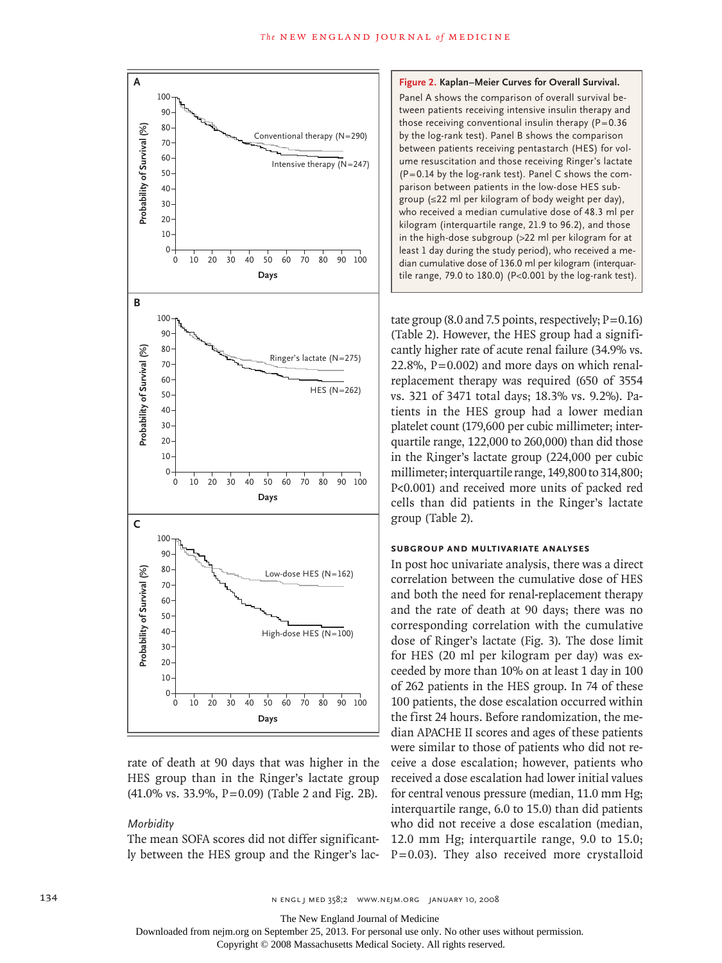

rate of death at 90 days that was higher in the HES group than in the Ringer's lactate group  $(41.0\% \text{ vs. } 33.9\%, \text{ P}=0.09)$  (Table 2 and Fig. 2B). p tiidi or acam at 50 anys that was ingher in a  $\frac{6}{96}$  vs. 33.9% D-0.09 (Table 2 and Fig. 2R o days that was ingher in the<br>in the Ringer's lactate grou  $\mathbf{m}$ 

### **Morbidity**

molblam,<br>The mean SOFA scores did not differ significant-Inc mean some some and not affect significant by between the HES group and the Ringer's lac-**Please check carefully.**



tate group (8.0 and 7.5 points, respectively;  $P=0.16$ ) (Table 2). However, the HES group had a significantly higher rate of acute renal failure (34.9% vs. 22.8%,  $P=0.002$ ) and more days on which renalreplacement therapy was required (650 of 3554 vs. 321 of 3471 total days; 18.3% vs. 9.2%). Patients in the HES group had a lower median platelet count (179,600 per cubic millimeter; interquartile range, 122,000 to 260,000) than did those in the Ringer's lactate group (224,000 per cubic millimeter; interquartile range, 149,800 to 314,800; P<0.001) and received more units of packed red cells than did patients in the Ringer's lactate group (Table 2).

# **Subgroup and Multivariate Analyses**

In post hoc univariate analysis, there was a direct correlation between the cumulative dose of HES and both the need for renal-replacement therapy and the rate of death at 90 days; there was no corresponding correlation with the cumulative dose of Ringer's lactate (Fig. 3). The dose limit for HES (20 ml per kilogram per day) was exceeded by more than 10% on at least 1 day in 100 of 262 patients in the HES group. In 74 of these 100 patients, the dose escalation occurred within the first 24 hours. Before randomization, the median APACHE II scores and ages of these patients were similar to those of patients who did not receive a dose escalation; however, patients who received a dose escalation had lower initial values for central venous pressure (median, 11.0 mm Hg; interquartile range, 6.0 to 15.0) than did patients who did not receive a dose escalation (median, 12.0 mm Hg; interquartile range, 9.0 to 15.0; P=0.03). They also received more crystalloid

n engl j med 358;2 www.nejm.org january 10, 2008<br>Newsly med 358;2 www.nejm.org january 10, 2008

The New England Journal of Medicine

Downloaded from nejm.org on September 25, 2013. For personal use only. No other uses without permission.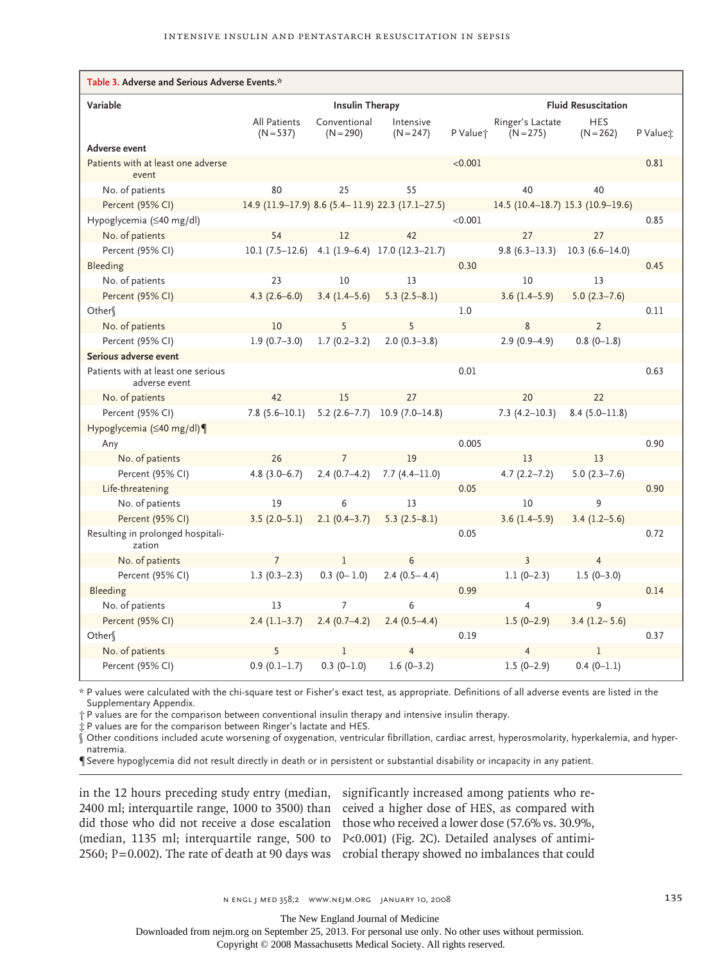| Table 3. Adverse and Serious Adverse Events.*       |                             |                             |                                                  |                            |                                 |                                   |                      |
|-----------------------------------------------------|-----------------------------|-----------------------------|--------------------------------------------------|----------------------------|---------------------------------|-----------------------------------|----------------------|
| Variable                                            |                             | <b>Insulin Therapy</b>      |                                                  | <b>Fluid Resuscitation</b> |                                 |                                   |                      |
|                                                     | All Patients<br>$(N = 537)$ | Conventional<br>$(N = 290)$ | Intensive<br>$(N = 247)$                         | P Value†                   | Ringer's Lactate<br>$(N = 275)$ | <b>HES</b><br>$(N = 262)$         | P Value <sub>1</sub> |
| Adverse event                                       |                             |                             |                                                  |                            |                                 |                                   |                      |
| Patients with at least one adverse<br>event         |                             |                             |                                                  | < 0.001                    |                                 |                                   | 0.81                 |
| No. of patients                                     | 80                          | 25                          | 55                                               |                            | 40                              | 40                                |                      |
| Percent (95% CI)                                    |                             |                             | 14.9 (11.9-17.9) 8.6 (5.4-11.9) 22.3 (17.1-27.5) |                            |                                 | 14.5 (10.4–18.7) 15.3 (10.9–19.6) |                      |
| Hypoglycemia (≤40 mg/dl)                            |                             |                             |                                                  | < 0.001                    |                                 |                                   | 0.85                 |
| No. of patients                                     | 54                          | 12                          | 42                                               |                            | 27                              | 27                                |                      |
| Percent (95% CI)                                    | $10.1(7.5-12.6)$            |                             | 4.1 $(1.9-6.4)$ 17.0 $(12.3-21.7)$               |                            | $9.8(6.3-13.3)$                 | $10.3(6.6 - 14.0)$                |                      |
| Bleeding                                            |                             |                             |                                                  | 0.30                       |                                 |                                   | 0.45                 |
| No. of patients                                     | 23                          | 10                          | 13                                               |                            | 10                              | 13                                |                      |
| Percent (95% CI)                                    | $4.3(2.6-6.0)$              | $3.4(1.4-5.6)$              | $5.3(2.5-8.1)$                                   |                            | $3.6(1.4-5.9)$                  | $5.0(2.3 - 7.6)$                  |                      |
| Other                                               |                             |                             |                                                  | 1.0                        |                                 |                                   | 0.11                 |
| No. of patients                                     | 10                          | 5                           | 5                                                |                            | 8                               | $\overline{2}$                    |                      |
| Percent (95% CI)                                    | $1.9(0.7-3.0)$              | $1.7(0.2-3.2)$              | $2.0(0.3-3.8)$                                   |                            | $2.9(0.9-4.9)$                  | $0.8(0-1.8)$                      |                      |
| Serious adverse event                               |                             |                             |                                                  |                            |                                 |                                   |                      |
| Patients with at least one serious<br>adverse event |                             |                             |                                                  | 0.01                       |                                 |                                   | 0.63                 |
| No. of patients                                     | 42                          | 15                          | 27                                               |                            | 20                              | 22                                |                      |
| Percent (95% CI)                                    | $7.8(5.6 - 10.1)$           |                             | $5.2$ (2.6-7.7) 10.9 (7.0-14.8)                  |                            | $7.3(4.2 - 10.3)$               | $8.4(5.0 - 11.8)$                 |                      |
| Hypoglycemia (<40 mg/dl)                            |                             |                             |                                                  |                            |                                 |                                   |                      |
| Any                                                 |                             |                             |                                                  | 0.005                      |                                 |                                   | 0.90                 |
| No. of patients                                     | 26                          | $\overline{7}$              | 19                                               |                            | 13                              | 13                                |                      |
| Percent (95% CI)                                    | $4.8(3.0 - 6.7)$            | $2.4(0.7-4.2)$              | $7.7(4.4 - 11.0)$                                |                            | $4.7(2.2 - 7.2)$                | $5.0(2.3 - 7.6)$                  |                      |
| Life-threatening                                    |                             |                             |                                                  | 0.05                       |                                 |                                   | 0.90                 |
| No. of patients                                     | 19                          | 6                           | 13                                               |                            | 10                              | 9                                 |                      |
| Percent (95% CI)                                    | $3.5(2.0-5.1)$              | $2.1(0.4-3.7)$              | $5.3(2.5-8.1)$                                   |                            | $3.6(1.4-5.9)$                  | $3.4(1.2-5.6)$                    |                      |
| Resulting in prolonged hospitali-<br>zation         |                             |                             |                                                  | 0.05                       |                                 |                                   | 0.72                 |
| No. of patients                                     | $\overline{7}$              | $\mathbf 1$                 | 6                                                |                            | $\overline{3}$                  | $\overline{4}$                    |                      |
| Percent (95% CI)                                    | $1.3(0.3-2.3)$              | $0.3$ (0-1.0)               | $2.4(0.5 - 4.4)$                                 |                            | $1.1(0-2.3)$                    | $1.5(0-3.0)$                      |                      |
| Bleeding                                            |                             |                             |                                                  | 0.99                       |                                 |                                   | 0.14                 |
| No. of patients                                     | 13                          | $\overline{7}$              | 6                                                |                            | 4                               | 9                                 |                      |
| Percent (95% CI)                                    | $2.4(1.1-3.7)$              | $2.4(0.7-4.2)$              | $2.4(0.5-4.4)$                                   |                            | $1.5(0-2.9)$                    | $3.4(1.2 - 5.6)$                  |                      |
| Other                                               |                             |                             |                                                  | 0.19                       |                                 |                                   | 0.37                 |
| No. of patients                                     | 5                           | $\mathbf{1}$                | $\overline{4}$                                   |                            | $\overline{4}$                  | $\mathbf{1}$                      |                      |
| Percent (95% CI)                                    | $0.9(0.1-1.7)$              | $0.3(0-1.0)$                | $1.6(0-3.2)$                                     |                            | $1.5(0-2.9)$                    | $0.4(0-1.1)$                      |                      |

\* P values were calculated with the chi-square test or Fisher's exact test, as appropriate. Definitions of all adverse events are listed in the Supplementary Appendix.

† P values are for the comparison between conventional insulin therapy and intensive insulin therapy.

‡ P values are for the comparison between Ringer's lactate and HES.

§ Other conditions included acute worsening of oxygenation, ventricular fibrillation, cardiac arrest, hyperosmolarity, hyperkalemia, and hypernatremia.

¶Severe hypoglycemia did not result directly in death or in persistent or substantial disability or incapacity in any patient.

in the 12 hours preceding study entry (median, significantly increased among patients who re-2400 ml; interquartile range, 1000 to 3500) than ceived a higher dose of HES, as compared with did those who did not receive a dose escalation those who received a lower dose (57.6% vs. 30.9%, (median, 1135 ml; interquartile range, 500 to P<0.001) (Fig. 2C). Detailed analyses of antimi-2560; P=0.002). The rate of death at 90 days was crobial therapy showed no imbalances that could

The New England Journal of Medicine

Downloaded from nejm.org on September 25, 2013. For personal use only. No other uses without permission.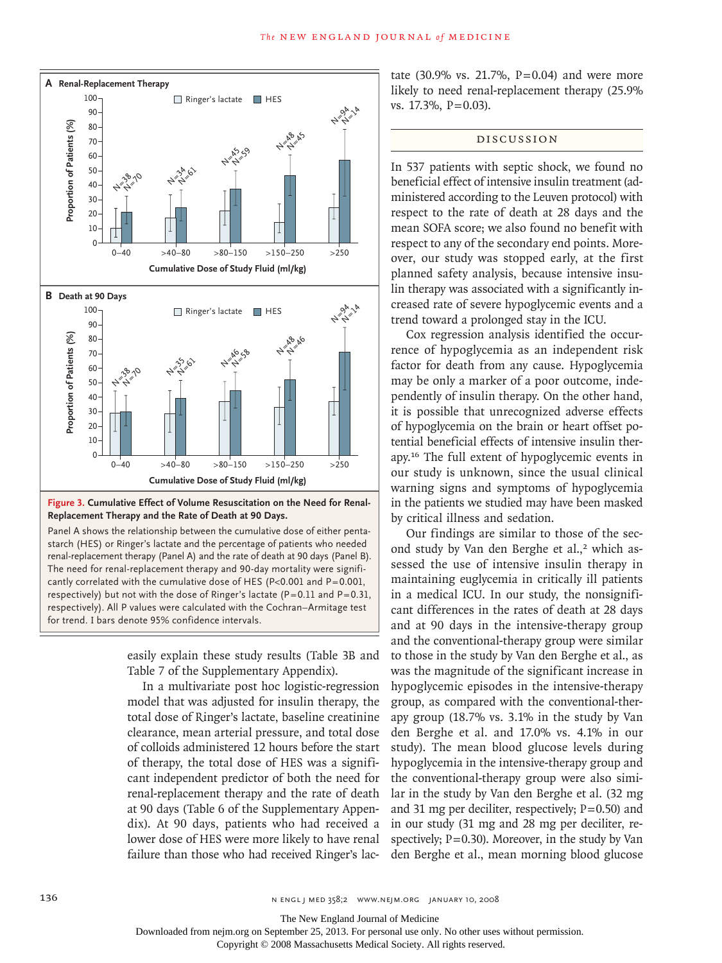

Replacement Therapy and the Rate of Death at 90 Days. **Figure 3. Cumulative Effect of Volume Resuscitation on the Need for Renal-**

The need for renal-replacement therapy and 90-day mortality were signifi-Panel A shows the relationship between the cumulative dose of either pentarenal-replacement therapy (Panel A) and the rate of death at 90 days (Panel B). Fattern shows the relationship between the cannatative dose of either pental starch (HES) or Ringer's lactate and the percentage of patients who needed cantly correlated with the cumulative dose of HES (P<0.001 and P=0.001, respectively) but not with the dose of Ringer's lactate (P=0.11 and P=0.31, **Figure has been redrawn and type has been reset. Please check carefully.** respectively). All P values were calculated with the Cochran–Armitage test for trend. I bars denote 95% confidence intervals.

Jobs in the second control of the second control of the second control of the second control of the second control of the second control of the second control of the second control of the second control of the second contr

35802

easily explain these study results (Table 3B and Table 7 of the Supplementary Appendix).

01-10-07

In a multivariate post hoc logistic-regression model that was adjusted for insulin therapy, the total dose of Ringer's lactate, baseline creatinine clearance, mean arterial pressure, and total dose of colloids administered 12 hours before the start of therapy, the total dose of HES was a significant independent predictor of both the need for renal-replacement therapy and the rate of death at 90 days (Table 6 of the Supplementary Appendix). At 90 days, patients who had received a lower dose of HES were more likely to have renal failure than those who had received Ringer's lactate (30.9% vs. 21.7%,  $P = 0.04$ ) and were more likely to need renal-replacement therapy (25.9% vs. 17.3%, P=0.03).

# Discussion

In 537 patients with septic shock, we found no beneficial effect of intensive insulin treatment (administered according to the Leuven protocol) with respect to the rate of death at 28 days and the mean SOFA score; we also found no benefit with respect to any of the secondary end points. Moreover, our study was stopped early, at the first planned safety analysis, because intensive insulin therapy was associated with a significantly increased rate of severe hypoglycemic events and a trend toward a prolonged stay in the ICU.

Cox regression analysis identified the occurrence of hypoglycemia as an independent risk factor for death from any cause. Hypoglycemia may be only a marker of a poor outcome, independently of insulin therapy. On the other hand, it is possible that unrecognized adverse effects of hypoglycemia on the brain or heart offset potential beneficial effects of intensive insulin therapy.16 The full extent of hypoglycemic events in our study is unknown, since the usual clinical warning signs and symptoms of hypoglycemia in the patients we studied may have been masked by critical illness and sedation.

Our findings are similar to those of the second study by Van den Berghe et al.,<sup>2</sup> which assessed the use of intensive insulin therapy in maintaining euglycemia in critically ill patients in a medical ICU. In our study, the nonsignificant differences in the rates of death at 28 days and at 90 days in the intensive-therapy group and the conventional-therapy group were similar to those in the study by Van den Berghe et al., as was the magnitude of the significant increase in hypoglycemic episodes in the intensive-therapy group, as compared with the conventional-therapy group (18.7% vs. 3.1% in the study by Van den Berghe et al. and 17.0% vs. 4.1% in our study). The mean blood glucose levels during hypoglycemia in the intensive-therapy group and the conventional-therapy group were also similar in the study by Van den Berghe et al. (32 mg and 31 mg per deciliter, respectively;  $P=0.50$ ) and in our study (31 mg and 28 mg per deciliter, respectively;  $P=0.30$ ). Moreover, in the study by Van den Berghe et al., mean morning blood glucose

The New England Journal of Medicine

Downloaded from nejm.org on September 25, 2013. For personal use only. No other uses without permission.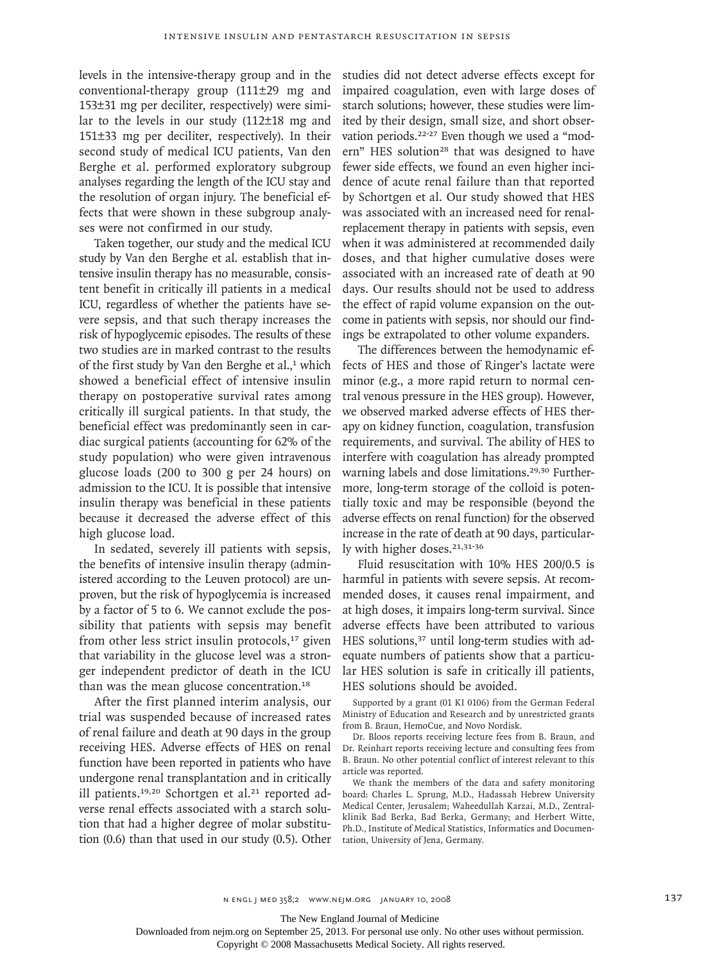levels in the intensive-therapy group and in the conventional-therapy group (111±29 mg and 153±31 mg per deciliter, respectively) were similar to the levels in our study (112±18 mg and 151±33 mg per deciliter, respectively). In their second study of medical ICU patients, Van den Berghe et al. performed exploratory subgroup analyses regarding the length of the ICU stay and the resolution of organ injury. The beneficial effects that were shown in these subgroup analyses were not confirmed in our study.

Taken together, our study and the medical ICU study by Van den Berghe et al. establish that intensive insulin therapy has no measurable, consistent benefit in critically ill patients in a medical ICU, regardless of whether the patients have severe sepsis, and that such therapy increases the risk of hypoglycemic episodes. The results of these two studies are in marked contrast to the results of the first study by Van den Berghe et al.,<sup>1</sup> which showed a beneficial effect of intensive insulin therapy on postoperative survival rates among critically ill surgical patients. In that study, the beneficial effect was predominantly seen in cardiac surgical patients (accounting for 62% of the study population) who were given intravenous glucose loads (200 to 300 g per 24 hours) on admission to the ICU. It is possible that intensive insulin therapy was beneficial in these patients because it decreased the adverse effect of this high glucose load.

In sedated, severely ill patients with sepsis, the benefits of intensive insulin therapy (administered according to the Leuven protocol) are unproven, but the risk of hypoglycemia is increased by a factor of 5 to 6. We cannot exclude the possibility that patients with sepsis may benefit from other less strict insulin protocols, $17$  given that variability in the glucose level was a stronger independent predictor of death in the ICU than was the mean glucose concentration.<sup>18</sup>

After the first planned interim analysis, our trial was suspended because of increased rates of renal failure and death at 90 days in the group receiving HES. Adverse effects of HES on renal function have been reported in patients who have undergone renal transplantation and in critically ill patients.<sup>19,20</sup> Schortgen et al.<sup>21</sup> reported adverse renal effects associated with a starch solution that had a higher degree of molar substitution (0.6) than that used in our study (0.5). Other studies did not detect adverse effects except for impaired coagulation, even with large doses of starch solutions; however, these studies were limited by their design, small size, and short observation periods.<sup>22-27</sup> Even though we used a "modern" HES solution<sup>28</sup> that was designed to have fewer side effects, we found an even higher incidence of acute renal failure than that reported by Schortgen et al. Our study showed that HES was associated with an increased need for renalreplacement therapy in patients with sepsis, even when it was administered at recommended daily doses, and that higher cumulative doses were associated with an increased rate of death at 90 days. Our results should not be used to address the effect of rapid volume expansion on the outcome in patients with sepsis, nor should our findings be extrapolated to other volume expanders.

The differences between the hemodynamic effects of HES and those of Ringer's lactate were minor (e.g., a more rapid return to normal central venous pressure in the HES group). However, we observed marked adverse effects of HES therapy on kidney function, coagulation, transfusion requirements, and survival. The ability of HES to interfere with coagulation has already prompted warning labels and dose limitations.<sup>29,30</sup> Furthermore, long-term storage of the colloid is potentially toxic and may be responsible (beyond the adverse effects on renal function) for the observed increase in the rate of death at 90 days, particularly with higher doses.21,31-36

Fluid resuscitation with 10% HES 200/0.5 is harmful in patients with severe sepsis. At recommended doses, it causes renal impairment, and at high doses, it impairs long-term survival. Since adverse effects have been attributed to various HES solutions,<sup>37</sup> until long-term studies with adequate numbers of patients show that a particular HES solution is safe in critically ill patients, HES solutions should be avoided.

Supported by a grant (01 KI 0106) from the German Federal Ministry of Education and Research and by unrestricted grants from B. Braun, HemoCue, and Novo Nordisk.

Dr. Bloos reports receiving lecture fees from B. Braun, and Dr. Reinhart reports receiving lecture and consulting fees from B. Braun. No other potential conflict of interest relevant to this article was reported.

We thank the members of the data and safety monitoring board: Charles L. Sprung, M.D., Hadassah Hebrew University Medical Center, Jerusalem; Waheedullah Karzai, M.D., Zentralklinik Bad Berka, Bad Berka, Germany; and Herbert Witte, Ph.D., Institute of Medical Statistics, Informatics and Documentation, University of Jena, Germany.

The New England Journal of Medicine

Downloaded from nejm.org on September 25, 2013. For personal use only. No other uses without permission.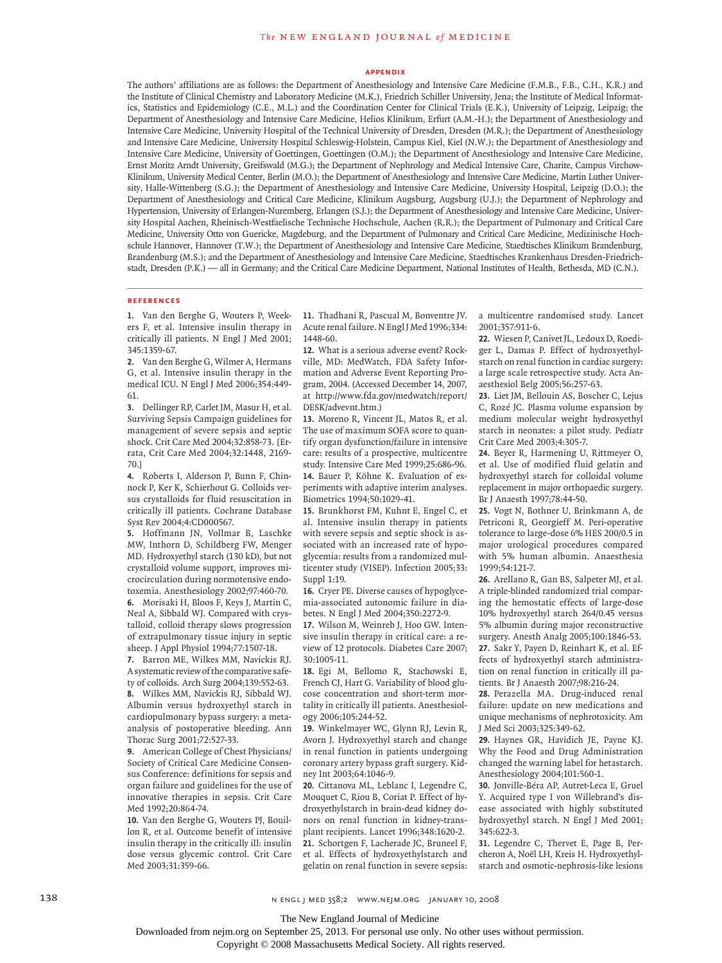#### **Appendix**

The authors' affiliations are as follows: the Department of Anesthesiology and Intensive Care Medicine (F.M.B., F.B., C.H., K.R.) and the Institute of Clinical Chemistry and Laboratory Medicine (M.K.), Friedrich Schiller University, Jena; the Institute of Medical Informatics, Statistics and Epidemiology (C.E., M.L.) and the Coordination Center for Clinical Trials (E.K.), University of Leipzig, Leipzig; the Department of Anesthesiology and Intensive Care Medicine, Helios Klinikum, Erfurt (A.M.-H.); the Department of Anesthesiology and Intensive Care Medicine, University Hospital of the Technical University of Dresden, Dresden (M.R.); the Department of Anesthesiology and Intensive Care Medicine, University Hospital Schleswig-Holstein, Campus Kiel, Kiel (N.W.); the Department of Anesthesiology and Intensive Care Medicine, University of Goettingen, Goettingen (O.M.); the Department of Anesthesiology and Intensive Care Medicine, Ernst Moritz Arndt University, Greifswald (M.G.); the Department of Nephrology and Medical Intensive Care, Charite, Campus Virchow-Klinikum, University Medical Center, Berlin (M.O.); the Department of Anesthesiology and Intensive Care Medicine, Martin Luther University, Halle-Wittenberg (S.G.); the Department of Anesthesiology and Intensive Care Medicine, University Hospital, Leipzig (D.O.); the Department of Anesthesiology and Critical Care Medicine, Klinikum Augsburg, Augsburg (U.J.); the Department of Nephrology and Hypertension, University of Erlangen-Nuremberg, Erlangen (S.J.); the Department of Anesthesiology and Intensive Care Medicine, University Hospital Aachen, Rheinisch-Westfaelische Technische Hochschule, Aachen (R.R.); the Department of Pulmonary and Critical Care Medicine, University Otto von Guericke, Magdeburg, and the Department of Pulmonary and Critical Care Medicine, Medizinische Hochschule Hannover, Hannover (T.W.); the Department of Anesthesiology and Intensive Care Medicine, Staedtisches Klinikum Brandenburg, Brandenburg (M.S.); and the Department of Anesthesiology and Intensive Care Medicine, Staedtisches Krankenhaus Dresden-Friedrichstadt, Dresden (P.K.) — all in Germany; and the Critical Care Medicine Department, National Institutes of Health, Bethesda, MD (C.N.).

#### **References**

1. Van den Berghe G, Wouters P, Weekers F, et al. Intensive insulin therapy in critically ill patients. N Engl J Med 2001; 345:1359-67.

2. Van den Berghe G, Wilmer A, Hermans G, et al. Intensive insulin therapy in the medical ICU. N Engl J Med 2006;354:449- 61.

Dellinger RP, Carlet JM, Masur H, et al. **3.** Surviving Sepsis Campaign guidelines for management of severe sepsis and septic shock. Crit Care Med 2004;32:858-73. [Errata, Crit Care Med 2004;32:1448, 2169- 70.]

Roberts I, Alderson P, Bunn F, Chin-**4.** nock P, Ker K, Schierhout G. Colloids versus crystalloids for fluid resuscitation in critically ill patients. Cochrane Database Syst Rev 2004;4:CD000567.

Hoffmann JN, Vollmar B, Laschke **5.** MW, Inthorn D, Schildberg FW, Menger MD. Hydroxyethyl starch (130 kD), but not crystalloid volume support, improves microcirculation during normotensive endotoxemia. Anesthesiology 2002;97:460-70.

Morisaki H, Bloos F, Keys J, Martin C, **6.** Neal A, Sibbald WJ. Compared with crystalloid, colloid therapy slows progression of extrapulmonary tissue injury in septic sheep. J Appl Physiol 1994;77:1507-18.

7. Barron ME, Wilkes MM, Navickis RJ. A systematic review of the comparative safety of colloids. Arch Surg 2004;139:552-63. Wilkes MM, Navickis RJ, Sibbald WJ. **8.** Albumin versus hydroxyethyl starch in cardiopulmonary bypass surgery: a metaanalysis of postoperative bleeding. Ann Thorac Surg 2001;72:527-33.

American College of Chest Physicians/ **9.** Society of Critical Care Medicine Consensus Conference: definitions for sepsis and organ failure and guidelines for the use of innovative therapies in sepsis. Crit Care Med 1992;20:864-74.

10. Van den Berghe G, Wouters PJ, Bouillon R, et al. Outcome benefit of intensive insulin therapy in the critically ill: insulin dose versus glycemic control. Crit Care Med 2003;31:359-66.

11. Thadhani R, Pascual M, Bonventre JV. Acute renal failure. N Engl J Med 1996;334: 1448-60.

What is a serious adverse event? Rock-**12.** ville, MD: MedWatch, FDA Safety Information and Adverse Event Reporting Program, 2004. (Accessed December 14, 2007, at http://www.fda.gov/medwatch/report/ DESK/advevnt.htm.)

13. Moreno R, Vincent JL, Matos R, et al. The use of maximum SOFA score to quantify organ dysfunction/failure in intensive care: results of a prospective, multicentre study. Intensive Care Med 1999;25:686-96. 14. Bauer P, Köhne K. Evaluation of experiments with adaptive interim analyses. Biometrics 1994;50:1029-41.

15. Brunkhorst FM, Kuhnt E, Engel C, et al. Intensive insulin therapy in patients with severe sepsis and septic shock is associated with an increased rate of hypoglycemia: results from a randomized multicenter study (VISEP). Infection 2005;33: Suppl 1:19.

16. Cryer PE. Diverse causes of hypoglycemia-associated autonomic failure in diabetes. N Engl J Med 2004;350:2272-9.

17. Wilson M, Weinreb J, Hoo GW. Intensive insulin therapy in critical care: a review of 12 protocols. Diabetes Care 2007; 30:1005-11.

18. Egi M, Bellomo R, Stachowski E, French CJ, Hart G. Variability of blood glucose concentration and short-term mortality in critically ill patients. Anesthesiology 2006;105:244-52.

19. Winkelmayer WC, Glynn RJ, Levin R, Avorn J. Hydroxyethyl starch and change in renal function in patients undergoing coronary artery bypass graft surgery. Kidney Int 2003;64:1046-9.

20. Cittanova ML, Leblanc I, Legendre C, Mouquet C, Riou B, Coriat P. Effect of hydroxyethylstarch in brain-dead kidney donors on renal function in kidney-transplant recipients. Lancet 1996;348:1620-2. 21. Schortgen F, Lacherade JC, Bruneel F, et al. Effects of hydroxyethylstarch and gelatin on renal function in severe sepsis:

a multicentre randomised study. Lancet 2001;357:911-6.

Wiesen P, Canivet JL, Ledoux D, Roedi-**22.** ger L, Damas P. Effect of hydroxyethylstarch on renal function in cardiac surgery: a large scale retrospective study. Acta Anaesthesiol Belg 2005;56:257-63.

23. Liet JM, Bellouin AS, Boscher C, Lejus C, Rozé JC. Plasma volume expansion by medium molecular weight hydroxyethyl starch in neonates: a pilot study. Pediatr Crit Care Med 2003;4:305-7.

24. Beyer R, Harmening U, Rittmeyer O, et al. Use of modified fluid gelatin and hydroxyethyl starch for colloidal volume replacement in major orthopaedic surgery. Br J Anaesth 1997;78:44-50.

25. Vogt N, Bothner U, Brinkmann A, de Petriconi R, Georgieff M. Peri-operative tolerance to large-dose 6% HES 200/0.5 in major urological procedures compared with 5% human albumin. Anaesthesia 1999;54:121-7.

26. Arellano R, Gan BS, Salpeter MJ, et al. A triple-blinded randomized trial comparing the hemostatic effects of large-dose 10% hydroxyethyl starch 264/0.45 versus 5% albumin during major reconstructive surgery. Anesth Analg 2005;100:1846-53. 27. Sakr Y, Payen D, Reinhart K, et al. Effects of hydroxyethyl starch administration on renal function in critically ill patients. Br J Anaesth 2007;98:216-24.

28. Perazella MA. Drug-induced renal failure: update on new medications and unique mechanisms of nephrotoxicity. Am J Med Sci 2003;325:349-62.

29. Haynes GR, Havidich JE, Payne KJ. Why the Food and Drug Administration changed the warning label for hetastarch. Anesthesiology 2004;101:560-1.

Jonville-Béra AP, Autret-Leca E, Gruel **30.** Y. Acquired type I von Willebrand's disease associated with highly substituted hydroxyethyl starch. N Engl J Med 2001; 345:622-3.

31. Legendre C, Thervet E, Page B, Percheron A, Noël LH, Kreis H. Hydroxyethylstarch and osmotic-nephrosis-like lesions

138 n engl j med 358;2 www.nejm.org january 10, 2008

The New England Journal of Medicine

Downloaded from nejm.org on September 25, 2013. For personal use only. No other uses without permission.